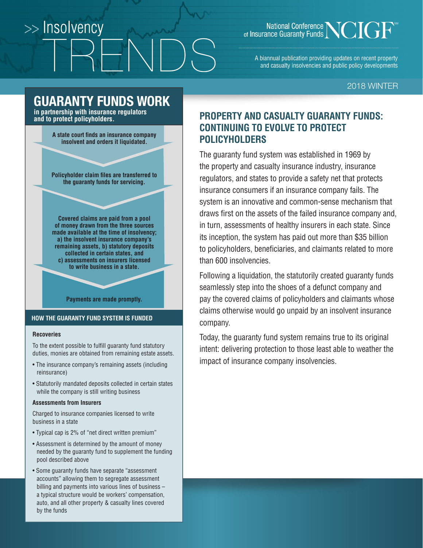# >> Insolvency

### National Conference<br>
of Insurance Guaranty Funds

A biannual publication providing updates on recent property and casualty insolvencies and public policy developments

### 2018 WINTER

### **GUARANTY FUNDS WORK**

**in partnership with insurance regulators and to protect policyholders.**

> **A state court finds an insurance company insolvent and orders it liquidated.**

> **Policyholder claim files are transferred to the guaranty funds for servicing.**

> **Covered claims are paid from a pool of money drawn from the three sources made available at the time of insolvency; a) the insolvent insurance company's remaining assets, b) statutory deposits collected in certain states, and c) assessments on insurers licensed to write business in a state.**

#### **Payments are made promptly.**

### **HOW THE GUARANTY FUND SYSTEM IS FUNDED**

#### **Recoveries**

To the extent possible to fulfill guaranty fund statutory duties, monies are obtained from remaining estate assets.

- The insurance company's remaining assets (including reinsurance)
- Statutorily mandated deposits collected in certain states while the company is still writing business

#### **Assessments from Insurers**

Charged to insurance companies licensed to write business in a state

- Typical cap is 2% of "net direct written premium"
- Assessment is determined by the amount of money needed by the guaranty fund to supplement the funding pool described above
- Some guaranty funds have separate "assessment accounts" allowing them to segregate assessment billing and payments into various lines of business – a typical structure would be workers' compensation, auto, and all other property & casualty lines covered by the funds

### **PROPERTY AND CASUALTY GUARANTY FUNDS: CONTINUING TO EVOLVE TO PROTECT POLICYHOLDERS**

The guaranty fund system was established in 1969 by the property and casualty insurance industry, insurance regulators, and states to provide a safety net that protects insurance consumers if an insurance company fails. The system is an innovative and common-sense mechanism that draws first on the assets of the failed insurance company and, in turn, assessments of healthy insurers in each state. Since its inception, the system has paid out more than \$35 billion to policyholders, beneficiaries, and claimants related to more than 600 insolvencies.

Following a liquidation, the statutorily created guaranty funds seamlessly step into the shoes of a defunct company and pay the covered claims of policyholders and claimants whose claims otherwise would go unpaid by an insolvent insurance company.

Today, the guaranty fund system remains true to its original intent: delivering protection to those least able to weather the impact of insurance company insolvencies.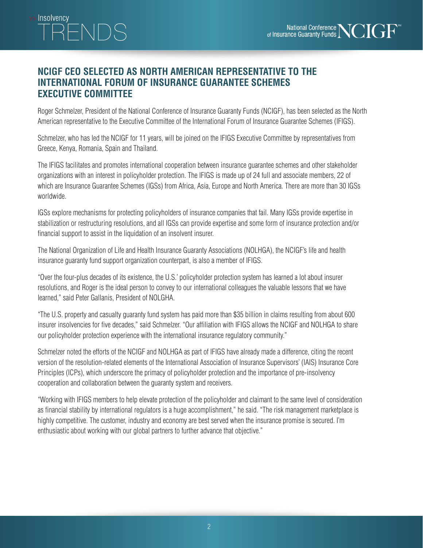### **NCIGF CEO SELECTED AS NORTH AMERICAN REPRESENTATIVE TO THE INTERNATIONAL FORUM OF INSURANCE GUARANTEE SCHEMES EXECUTIVE COMMITTEE**

>> Insolvencv

Roger Schmelzer, President of the National Conference of Insurance Guaranty Funds (NCIGF), has been selected as the North American representative to the Executive Committee of the International Forum of Insurance Guarantee Schemes (IFIGS).

Schmelzer, who has led the NCIGF for 11 years, will be joined on the IFIGS Executive Committee by representatives from Greece, Kenya, Romania, Spain and Thailand.

The IFIGS facilitates and promotes international cooperation between insurance guarantee schemes and other stakeholder organizations with an interest in policyholder protection. The IFIGS is made up of 24 full and associate members, 22 of which are Insurance Guarantee Schemes (IGSs) from Africa, Asia, Europe and North America. There are more than 30 IGSs worldwide.

IGSs explore mechanisms for protecting policyholders of insurance companies that fail. Many IGSs provide expertise in stabilization or restructuring resolutions, and all IGSs can provide expertise and some form of insurance protection and/or financial support to assist in the liquidation of an insolvent insurer.

The National Organization of Life and Health Insurance Guaranty Associations (NOLHGA), the NCIGF's life and health insurance guaranty fund support organization counterpart, is also a member of IFIGS.

"Over the four-plus decades of its existence, the U.S.' policyholder protection system has learned a lot about insurer resolutions, and Roger is the ideal person to convey to our international colleagues the valuable lessons that we have learned," said Peter Gallanis, President of NOLGHA.

"The U.S. property and casualty guaranty fund system has paid more than \$35 billion in claims resulting from about 600 insurer insolvencies for five decades," said Schmelzer. "Our affiliation with IFIGS allows the NCIGF and NOLHGA to share our policyholder protection experience with the international insurance regulatory community."

Schmelzer noted the efforts of the NCIGF and NOLHGA as part of IFIGS have already made a difference, citing the recent version of the resolution-related elements of the International Association of Insurance Supervisors' (IAIS) Insurance Core Principles (ICPs), which underscore the primacy of policyholder protection and the importance of pre-insolvency cooperation and collaboration between the guaranty system and receivers.

"Working with IFIGS members to help elevate protection of the policyholder and claimant to the same level of consideration as financial stability by international regulators is a huge accomplishment," he said. "The risk management marketplace is highly competitive. The customer, industry and economy are best served when the insurance promise is secured. I'm enthusiastic about working with our global partners to further advance that objective."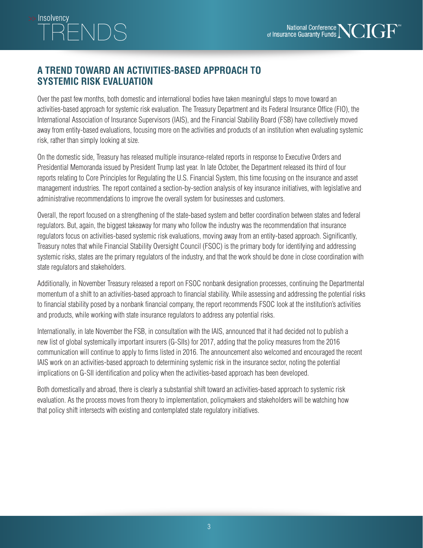### >> Insolvencv NDS

### **A TREND TOWARD AN ACTIVITIES-BASED APPROACH TO SYSTEMIC RISK EVALUATION**

Over the past few months, both domestic and international bodies have taken meaningful steps to move toward an activities-based approach for systemic risk evaluation. The Treasury Department and its Federal Insurance Office (FIO), the International Association of Insurance Supervisors (IAIS), and the Financial Stability Board (FSB) have collectively moved away from entity-based evaluations, focusing more on the activities and products of an institution when evaluating systemic risk, rather than simply looking at size.

On the domestic side, Treasury has released multiple insurance-related reports in response to Executive Orders and Presidential Memoranda issued by President Trump last year. In late October, the Department released its third of four reports relating to Core Principles for Regulating the U.S. Financial System, this time focusing on the insurance and asset management industries. The report contained a section-by-section analysis of key insurance initiatives, with legislative and administrative recommendations to improve the overall system for businesses and customers.

Overall, the report focused on a strengthening of the state-based system and better coordination between states and federal regulators. But, again, the biggest takeaway for many who follow the industry was the recommendation that insurance regulators focus on activities-based systemic risk evaluations, moving away from an entity-based approach. Significantly, Treasury notes that while Financial Stability Oversight Council (FSOC) is the primary body for identifying and addressing systemic risks, states are the primary regulators of the industry, and that the work should be done in close coordination with state regulators and stakeholders.

Additionally, in November Treasury released a report on FSOC nonbank designation processes, continuing the Departmental momentum of a shift to an activities-based approach to financial stability. While assessing and addressing the potential risks to financial stability posed by a nonbank financial company, the report recommends FSOC look at the institution's activities and products, while working with state insurance regulators to address any potential risks.

Internationally, in late November the FSB, in consultation with the IAIS, announced that it had decided not to publish a new list of global systemically important insurers (G-SIIs) for 2017, adding that the policy measures from the 2016 communication will continue to apply to firms listed in 2016. The announcement also welcomed and encouraged the recent IAIS work on an activities-based approach to determining systemic risk in the insurance sector, noting the potential implications on G-SII identification and policy when the activities-based approach has been developed.

Both domestically and abroad, there is clearly a substantial shift toward an activities-based approach to systemic risk evaluation. As the process moves from theory to implementation, policymakers and stakeholders will be watching how that policy shift intersects with existing and contemplated state regulatory initiatives.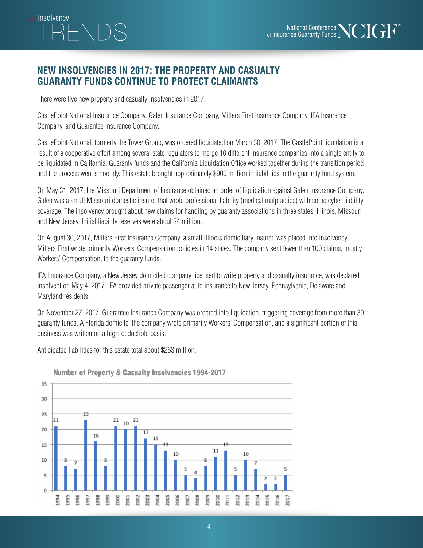# >> Insolvencv

### **NEW INSOLVENCIES IN 2017: THE PROPERTY AND CASUALTY GUARANTY FUNDS CONTINUE TO PROTECT CLAIMANTS**

There were five new property and casualty insolvencies in 2017:

CastlePoint National Insurance Company, Galen Insurance Company, Millers First Insurance Company, IFA Insurance Company, and Guarantee Insurance Company.

CastlePoint National, formerly the Tower Group, was ordered liquidated on March 30, 2017. The CastlePoint liquidation is a result of a cooperative effort among several state regulators to merge 10 different insurance companies into a single entity to be liquidated in California. Guaranty funds and the California Liquidation Office worked together during the transition period and the process went smoothly. This estate brought approximately \$900 million in liabilities to the guaranty fund system.

On May 31, 2017, the Missouri Department of Insurance obtained an order of liquidation against Galen Insurance Company. Galen was a small Missouri domestic insurer that wrote professional liability (medical malpractice) with some cyber liability coverage. The insolvency brought about new claims for handling by guaranty associations in three states: Illinois, Missouri and New Jersey. Initial liability reserves were about \$4 million.

On August 30, 2017, Millers First Insurance Company, a small Illinois domiciliary insurer, was placed into insolvency. Millers First wrote primarily Workers' Compensation policies in 14 states. The company sent fewer than 100 claims, mostly Workers' Compensation, to the guaranty funds.

IFA Insurance Company, a New Jersey domiciled company licensed to write property and casualty insurance, was declared insolvent on May 4, 2017. IFA provided private passenger auto insurance to New Jersey, Pennsylvania, Delaware and Maryland residents.

On November 27, 2017, Guarantee Insurance Company was ordered into liquidation, triggering coverage from more than 30 guaranty funds. A Florida domicile, the company wrote primarily Workers' Compensation, and a significant portion of this business was written on a high-deductible basis.

Anticipated liabilities for this estate total about \$263 million.



Number of Property & Casualty Insolvencies 1994-2017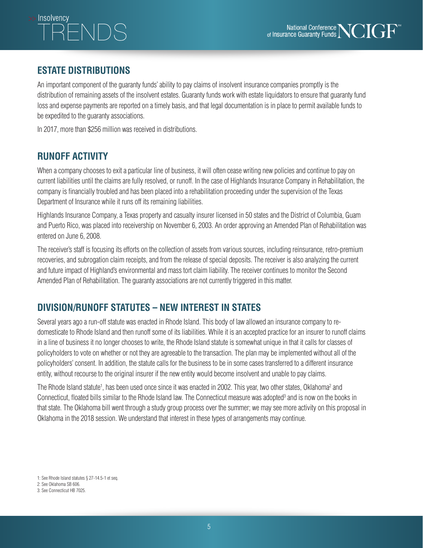# >> Insolvencv

### **ESTATE DISTRIBUTIONS**

An important component of the guaranty funds' ability to pay claims of insolvent insurance companies promptly is the distribution of remaining assets of the insolvent estates. Guaranty funds work with estate liquidators to ensure that guaranty fund loss and expense payments are reported on a timely basis, and that legal documentation is in place to permit available funds to be expedited to the guaranty associations.

In 2017, more than \$256 million was received in distributions.

### **RUNOFF ACTIVITY**

When a company chooses to exit a particular line of business, it will often cease writing new policies and continue to pay on current liabilities until the claims are fully resolved, or runoff. In the case of Highlands Insurance Company in Rehabilitation, the company is financially troubled and has been placed into a rehabilitation proceeding under the supervision of the Texas Department of Insurance while it runs off its remaining liabilities.

Highlands Insurance Company, a Texas property and casualty insurer licensed in 50 states and the District of Columbia, Guam and Puerto Rico, was placed into receivership on November 6, 2003. An order approving an Amended Plan of Rehabilitation was entered on June 6, 2008.

The receiver's staff is focusing its efforts on the collection of assets from various sources, including reinsurance, retro-premium recoveries, and subrogation claim receipts, and from the release of special deposits. The receiver is also analyzing the current and future impact of Highland's environmental and mass tort claim liability. The receiver continues to monitor the Second Amended Plan of Rehabilitation. The guaranty associations are not currently triggered in this matter.

### **DIVISION/RUNOFF STATUTES – NEW INTEREST IN STATES**

Several years ago a run-off statute was enacted in Rhode Island. This body of law allowed an insurance company to redomesticate to Rhode Island and then runoff some of its liabilities. While it is an accepted practice for an insurer to runoff claims in a line of business it no longer chooses to write, the Rhode Island statute is somewhat unique in that it calls for classes of policyholders to vote on whether or not they are agreeable to the transaction. The plan may be implemented without all of the policyholders' consent. In addition, the statute calls for the business to be in some cases transferred to a different insurance entity, without recourse to the original insurer if the new entity would become insolvent and unable to pay claims.

The Rhode Island statute<sup>1</sup>, has been used once since it was enacted in 2002. This year, two other states, Oklahoma<sup>2</sup> and Connecticut, floated bills similar to the Rhode Island law. The Connecticut measure was adopted<sup>3</sup> and is now on the books in that state. The Oklahoma bill went through a study group process over the summer; we may see more activity on this proposal in Oklahoma in the 2018 session. We understand that interest in these types of arrangements may continue.

1: See Rhode Island statutes § 27-14.5-1 et seq. 2: See Oklahoma SB 606. 3: See Connecticut HB 7025.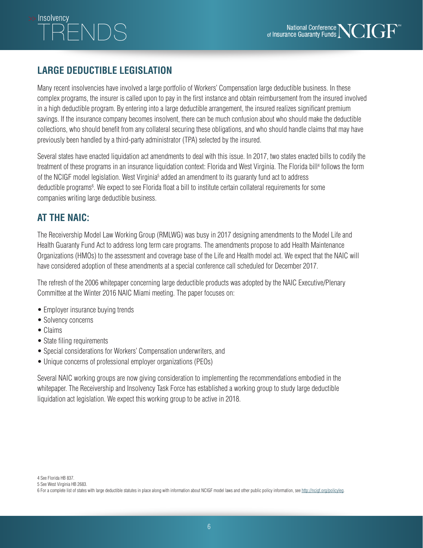# >> Insolvencv

### **LARGE DEDUCTIBLE LEGISLATION**

Many recent insolvencies have involved a large portfolio of Workers' Compensation large deductible business. In these complex programs, the insurer is called upon to pay in the first instance and obtain reimbursement from the insured involved in a high deductible program. By entering into a large deductible arrangement, the insured realizes significant premium savings. If the insurance company becomes insolvent, there can be much confusion about who should make the deductible collections, who should benefit from any collateral securing these obligations, and who should handle claims that may have previously been handled by a third-party administrator (TPA) selected by the insured.

Several states have enacted liquidation act amendments to deal with this issue. In 2017, two states enacted bills to codify the treatment of these programs in an insurance liquidation context: Florida and West Virginia. The Florida bill<sup>4</sup> follows the form of the NCIGF model legislation. West Virginia<sup>5</sup> added an amendment to its guaranty fund act to address deductible programs<sup>6</sup>. We expect to see Florida float a bill to institute certain collateral requirements for some companies writing large deductible business.

### **AT THE NAIC:**

The Receivership Model Law Working Group (RMLWG) was busy in 2017 designing amendments to the Model Life and Health Guaranty Fund Act to address long term care programs. The amendments propose to add Health Maintenance Organizations (HMOs) to the assessment and coverage base of the Life and Health model act. We expect that the NAIC will have considered adoption of these amendments at a special conference call scheduled for December 2017.

The refresh of the 2006 whitepaper concerning large deductible products was adopted by the NAIC Executive/Plenary Committee at the Winter 2016 NAIC Miami meeting. The paper focuses on:

- Employer insurance buying trends
- Solvency concerns
- Claims
- State filing requirements
- Special considerations for Workers' Compensation underwriters, and
- Unique concerns of professional employer organizations (PEOs)

Several NAIC working groups are now giving consideration to implementing the recommendations embodied in the whitepaper. The Receivership and Insolvency Task Force has established a working group to study large deductible liquidation act legislation. We expect this working group to be active in 2018.